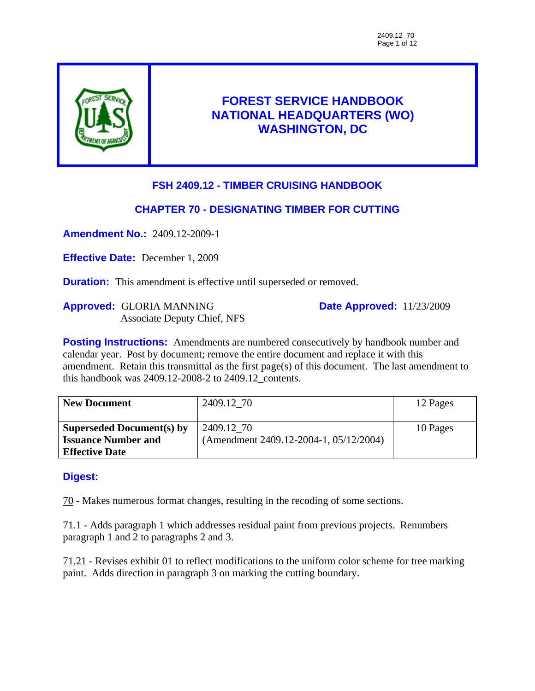

# **FOREST SERVICE HANDBOOK NATIONAL HEADQUARTERS (WO) WASHINGTON, DC**

# **FSH 2409.12 - TIMBER CRUISING HANDBOOK**

# **CHAPTER 70 - DESIGNATING TIMBER FOR CUTTING**

**Amendment No.:** 2409.12-2009-1

**Effective Date:** December 1, 2009

**Duration:** This amendment is effective until superseded or removed.

**Approved:** GLORIA MANNING Associate Deputy Chief, NFS **Date Approved:** 11/23/2009

**Posting Instructions:** Amendments are numbered consecutively by handbook number and calendar year. Post by document; remove the entire document and replace it with this amendment. Retain this transmittal as the first page(s) of this document. The last amendment to this handbook was 2409.12-2008-2 to 2409.12\_contents.

| <b>New Document</b>        | 2409.12 70                             | 12 Pages |
|----------------------------|----------------------------------------|----------|
| Superseded Document(s) by  | 2409.12 70                             | 10 Pages |
| <b>Issuance Number and</b> | (Amendment 2409.12-2004-1, 05/12/2004) |          |
| <b>Effective Date</b>      |                                        |          |

# **Digest:**

70 - Makes numerous format changes, resulting in the recoding of some sections.

71.1 - Adds paragraph 1 which addresses residual paint from previous projects. Renumbers paragraph 1 and 2 to paragraphs 2 and 3.

71.21 - Revises exhibit 01 to reflect modifications to the uniform color scheme for tree marking paint. Adds direction in paragraph 3 on marking the cutting boundary.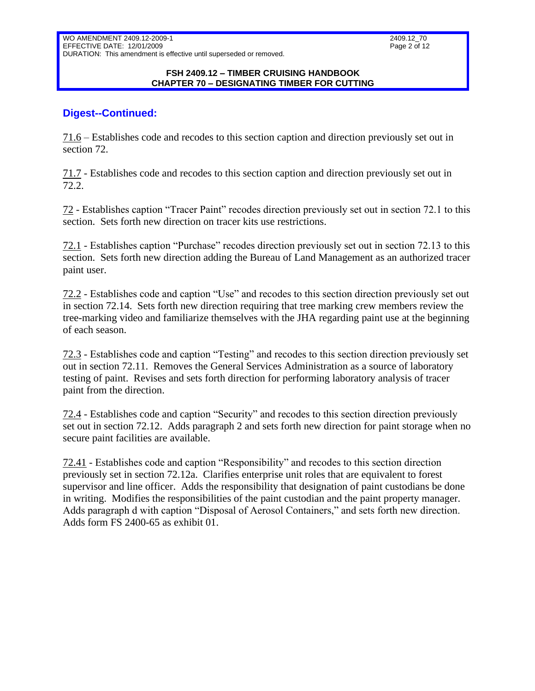#### **FSH 2409.12 – TIMBER CRUISING HANDBOOK CHAPTER 70 – DESIGNATING TIMBER FOR CUTTING**

### **Digest--Continued:**

71.6 – Establishes code and recodes to this section caption and direction previously set out in section 72.

71.7 - Establishes code and recodes to this section caption and direction previously set out in 72.2.

72 - Establishes caption "Tracer Paint" recodes direction previously set out in section 72.1 to this section. Sets forth new direction on tracer kits use restrictions.

72.1 - Establishes caption "Purchase" recodes direction previously set out in section 72.13 to this section. Sets forth new direction adding the Bureau of Land Management as an authorized tracer paint user.

72.2 - Establishes code and caption "Use" and recodes to this section direction previously set out in section 72.14. Sets forth new direction requiring that tree marking crew members review the tree-marking video and familiarize themselves with the JHA regarding paint use at the beginning of each season.

72.3 - Establishes code and caption "Testing" and recodes to this section direction previously set out in section 72.11. Removes the General Services Administration as a source of laboratory testing of paint. Revises and sets forth direction for performing laboratory analysis of tracer paint from the direction.

72.4 - Establishes code and caption "Security" and recodes to this section direction previously set out in section 72.12. Adds paragraph 2 and sets forth new direction for paint storage when no secure paint facilities are available.

72.41 - Establishes code and caption "Responsibility" and recodes to this section direction previously set in section 72.12a. Clarifies enterprise unit roles that are equivalent to forest supervisor and line officer. Adds the responsibility that designation of paint custodians be done in writing. Modifies the responsibilities of the paint custodian and the paint property manager. Adds paragraph d with caption "Disposal of Aerosol Containers," and sets forth new direction. Adds form FS 2400-65 as exhibit 01.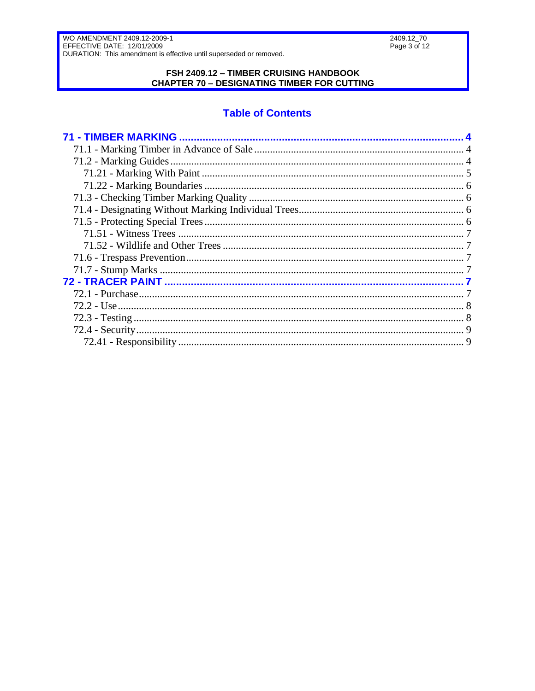#### FSH 2409.12 - TIMBER CRUISING HANDBOOK **CHAPTER 70 - DESIGNATING TIMBER FOR CUTTING**

# **Table of Contents**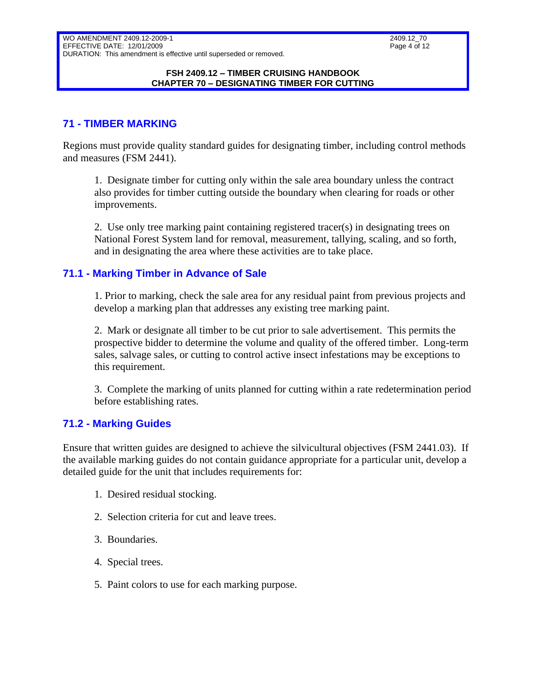#### **FSH 2409.12 – TIMBER CRUISING HANDBOOK CHAPTER 70 – DESIGNATING TIMBER FOR CUTTING**

# <span id="page-3-0"></span>**71 - TIMBER MARKING**

Regions must provide quality standard guides for designating timber, including control methods and measures (FSM 2441).

1. Designate timber for cutting only within the sale area boundary unless the contract also provides for timber cutting outside the boundary when clearing for roads or other improvements.

2. Use only tree marking paint containing registered tracer(s) in designating trees on National Forest System land for removal, measurement, tallying, scaling, and so forth, and in designating the area where these activities are to take place.

### <span id="page-3-1"></span>**71.1 - Marking Timber in Advance of Sale**

1. Prior to marking, check the sale area for any residual paint from previous projects and develop a marking plan that addresses any existing tree marking paint.

2. Mark or designate all timber to be cut prior to sale advertisement. This permits the prospective bidder to determine the volume and quality of the offered timber. Long-term sales, salvage sales, or cutting to control active insect infestations may be exceptions to this requirement.

3. Complete the marking of units planned for cutting within a rate redetermination period before establishing rates.

### <span id="page-3-2"></span>**71.2 - Marking Guides**

Ensure that written guides are designed to achieve the silvicultural objectives (FSM 2441.03). If the available marking guides do not contain guidance appropriate for a particular unit, develop a detailed guide for the unit that includes requirements for:

- 1. Desired residual stocking.
- 2. Selection criteria for cut and leave trees.
- 3. Boundaries.
- 4. Special trees.
- 5. Paint colors to use for each marking purpose.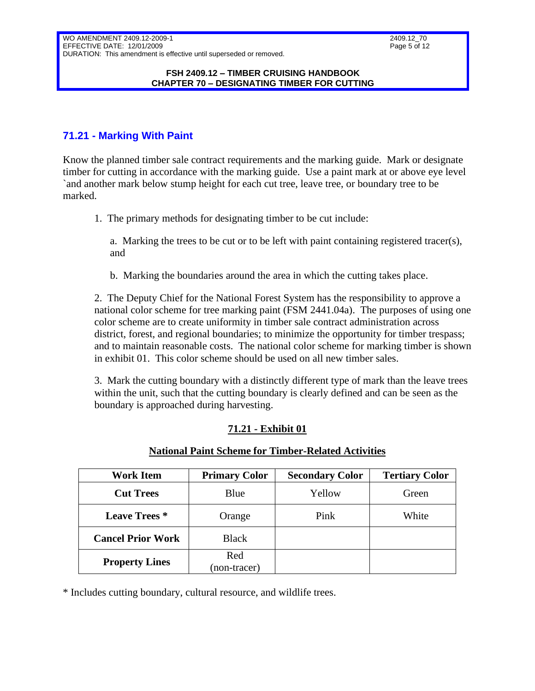#### **FSH 2409.12 – TIMBER CRUISING HANDBOOK CHAPTER 70 – DESIGNATING TIMBER FOR CUTTING**

# <span id="page-4-0"></span>**71.21 - Marking With Paint**

Know the planned timber sale contract requirements and the marking guide. Mark or designate timber for cutting in accordance with the marking guide. Use a paint mark at or above eye level `and another mark below stump height for each cut tree, leave tree, or boundary tree to be marked.

1. The primary methods for designating timber to be cut include:

a. Marking the trees to be cut or to be left with paint containing registered tracer(s), and

b. Marking the boundaries around the area in which the cutting takes place.

2. The Deputy Chief for the National Forest System has the responsibility to approve a national color scheme for tree marking paint (FSM 2441.04a). The purposes of using one color scheme are to create uniformity in timber sale contract administration across district, forest, and regional boundaries; to minimize the opportunity for timber trespass; and to maintain reasonable costs. The national color scheme for marking timber is shown in exhibit 01. This color scheme should be used on all new timber sales.

3. Mark the cutting boundary with a distinctly different type of mark than the leave trees within the unit, such that the cutting boundary is clearly defined and can be seen as the boundary is approached during harvesting.

# **71.21 - Exhibit 01**

#### **National Paint Scheme for Timber-Related Activities**

| <b>Work Item</b>         | <b>Primary Color</b> | <b>Secondary Color</b> | <b>Tertiary Color</b> |  |  |
|--------------------------|----------------------|------------------------|-----------------------|--|--|
| <b>Cut Trees</b>         | Blue                 | Yellow                 | Green                 |  |  |
| <b>Leave Trees</b> *     | Orange               | Pink                   | White                 |  |  |
| <b>Cancel Prior Work</b> | <b>Black</b>         |                        |                       |  |  |
| <b>Property Lines</b>    | Red                  |                        |                       |  |  |
|                          | (non-tracer)         |                        |                       |  |  |

\* Includes cutting boundary, cultural resource, and wildlife trees.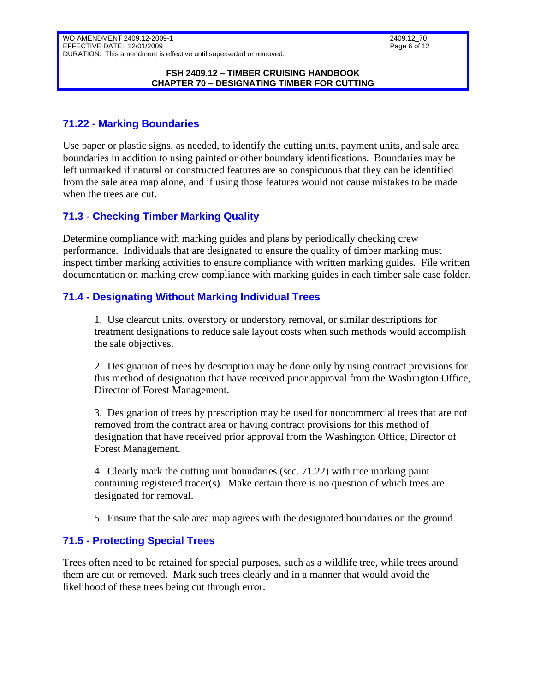#### **FSH 2409.12 – TIMBER CRUISING HANDBOOK CHAPTER 70 – DESIGNATING TIMBER FOR CUTTING**

# <span id="page-5-0"></span>**71.22 - Marking Boundaries**

Use paper or plastic signs, as needed, to identify the cutting units, payment units, and sale area boundaries in addition to using painted or other boundary identifications. Boundaries may be left unmarked if natural or constructed features are so conspicuous that they can be identified from the sale area map alone, and if using those features would not cause mistakes to be made when the trees are cut.

# <span id="page-5-1"></span>**71.3 - Checking Timber Marking Quality**

Determine compliance with marking guides and plans by periodically checking crew performance. Individuals that are designated to ensure the quality of timber marking must inspect timber marking activities to ensure compliance with written marking guides. File written documentation on marking crew compliance with marking guides in each timber sale case folder.

# <span id="page-5-2"></span>**71.4 - Designating Without Marking Individual Trees**

1. Use clearcut units, overstory or understory removal, or similar descriptions for treatment designations to reduce sale layout costs when such methods would accomplish the sale objectives.

2. Designation of trees by description may be done only by using contract provisions for this method of designation that have received prior approval from the Washington Office, Director of Forest Management.

3. Designation of trees by prescription may be used for noncommercial trees that are not removed from the contract area or having contract provisions for this method of designation that have received prior approval from the Washington Office, Director of Forest Management.

4. Clearly mark the cutting unit boundaries (sec. 71.22) with tree marking paint containing registered tracer(s). Make certain there is no question of which trees are designated for removal.

5. Ensure that the sale area map agrees with the designated boundaries on the ground.

# <span id="page-5-3"></span>**71.5 - Protecting Special Trees**

Trees often need to be retained for special purposes, such as a wildlife tree, while trees around them are cut or removed. Mark such trees clearly and in a manner that would avoid the likelihood of these trees being cut through error.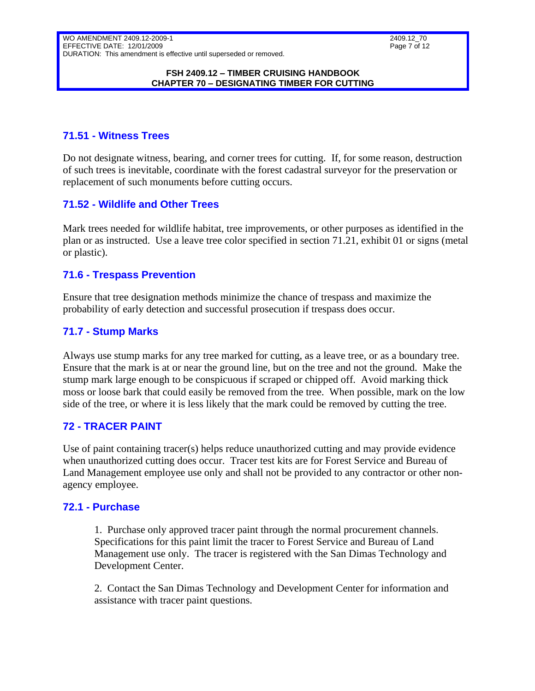#### **FSH 2409.12 – TIMBER CRUISING HANDBOOK CHAPTER 70 – DESIGNATING TIMBER FOR CUTTING**

### <span id="page-6-0"></span>**71.51 - Witness Trees**

Do not designate witness, bearing, and corner trees for cutting. If, for some reason, destruction of such trees is inevitable, coordinate with the forest cadastral surveyor for the preservation or replacement of such monuments before cutting occurs.

### <span id="page-6-1"></span>**71.52 - Wildlife and Other Trees**

Mark trees needed for wildlife habitat, tree improvements, or other purposes as identified in the plan or as instructed. Use a leave tree color specified in section 71.21, exhibit 01 or signs (metal or plastic).

### <span id="page-6-2"></span>**71.6 - Trespass Prevention**

Ensure that tree designation methods minimize the chance of trespass and maximize the probability of early detection and successful prosecution if trespass does occur.

### <span id="page-6-3"></span>**71.7 - Stump Marks**

Always use stump marks for any tree marked for cutting, as a leave tree, or as a boundary tree. Ensure that the mark is at or near the ground line, but on the tree and not the ground. Make the stump mark large enough to be conspicuous if scraped or chipped off. Avoid marking thick moss or loose bark that could easily be removed from the tree. When possible, mark on the low side of the tree, or where it is less likely that the mark could be removed by cutting the tree.

### <span id="page-6-4"></span>**72 - TRACER PAINT**

Use of paint containing tracer(s) helps reduce unauthorized cutting and may provide evidence when unauthorized cutting does occur. Tracer test kits are for Forest Service and Bureau of Land Management employee use only and shall not be provided to any contractor or other nonagency employee.

### <span id="page-6-5"></span>**72.1 - Purchase**

1. Purchase only approved tracer paint through the normal procurement channels. Specifications for this paint limit the tracer to Forest Service and Bureau of Land Management use only. The tracer is registered with the San Dimas Technology and Development Center.

2. Contact the San Dimas Technology and Development Center for information and assistance with tracer paint questions.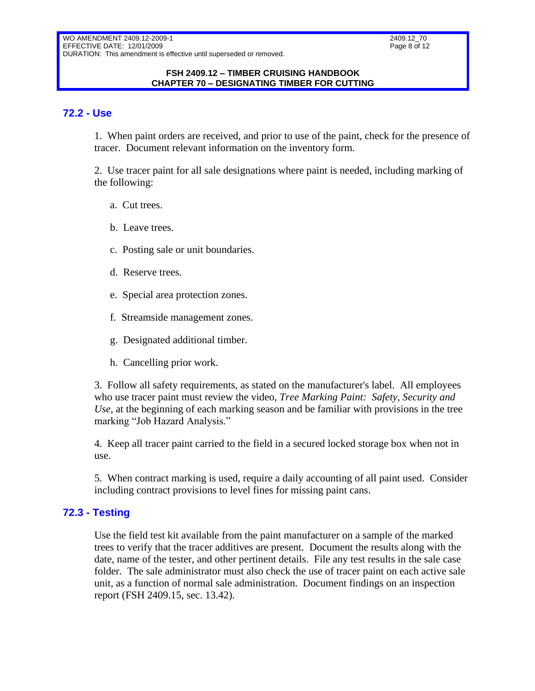2409.12\_70 Page 8 of 12

#### **FSH 2409.12 – TIMBER CRUISING HANDBOOK CHAPTER 70 – DESIGNATING TIMBER FOR CUTTING**

### <span id="page-7-0"></span>**72.2 - Use**

1. When paint orders are received, and prior to use of the paint, check for the presence of tracer. Document relevant information on the inventory form.

2. Use tracer paint for all sale designations where paint is needed, including marking of the following:

- a. Cut trees.
- b. Leave trees.
- c. Posting sale or unit boundaries.
- d. Reserve trees.
- e. Special area protection zones.
- f. Streamside management zones.
- g. Designated additional timber.
- h. Cancelling prior work.

3. Follow all safety requirements, as stated on the manufacturer's label. All employees who use tracer paint must review the video, *Tree Marking Paint: Safety, Security and Use,* at the beginning of each marking season and be familiar with provisions in the tree marking "Job Hazard Analysis."

4. Keep all tracer paint carried to the field in a secured locked storage box when not in use.

5. When contract marking is used, require a daily accounting of all paint used. Consider including contract provisions to level fines for missing paint cans.

### <span id="page-7-1"></span>**72.3 - Testing**

Use the field test kit available from the paint manufacturer on a sample of the marked trees to verify that the tracer additives are present. Document the results along with the date, name of the tester, and other pertinent details. File any test results in the sale case folder. The sale administrator must also check the use of tracer paint on each active sale unit, as a function of normal sale administration. Document findings on an inspection report (FSH 2409.15, sec. 13.42).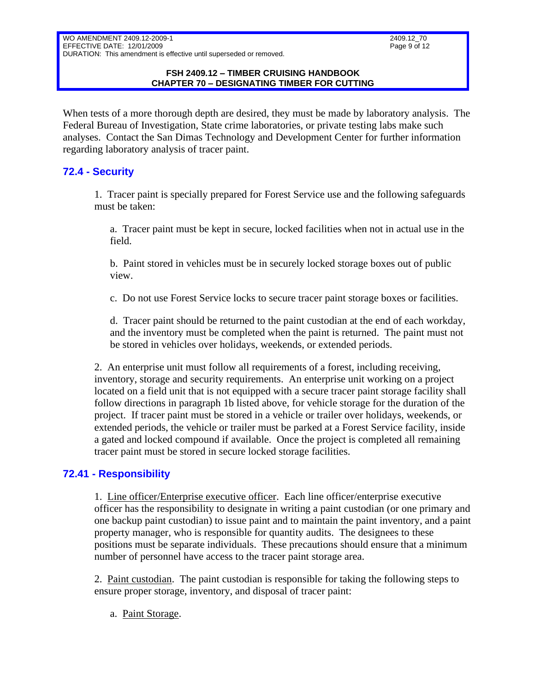#### **FSH 2409.12 – TIMBER CRUISING HANDBOOK CHAPTER 70 – DESIGNATING TIMBER FOR CUTTING**

When tests of a more thorough depth are desired, they must be made by laboratory analysis. The Federal Bureau of Investigation, State crime laboratories, or private testing labs make such analyses. Contact the San Dimas Technology and Development Center for further information regarding laboratory analysis of tracer paint.

# <span id="page-8-0"></span>**72.4 - Security**

1. Tracer paint is specially prepared for Forest Service use and the following safeguards must be taken:

a. Tracer paint must be kept in secure, locked facilities when not in actual use in the field.

b. Paint stored in vehicles must be in securely locked storage boxes out of public view.

c. Do not use Forest Service locks to secure tracer paint storage boxes or facilities.

d. Tracer paint should be returned to the paint custodian at the end of each workday, and the inventory must be completed when the paint is returned. The paint must not be stored in vehicles over holidays, weekends, or extended periods.

2. An enterprise unit must follow all requirements of a forest, including receiving, inventory, storage and security requirements. An enterprise unit working on a project located on a field unit that is not equipped with a secure tracer paint storage facility shall follow directions in paragraph 1b listed above, for vehicle storage for the duration of the project. If tracer paint must be stored in a vehicle or trailer over holidays, weekends, or extended periods, the vehicle or trailer must be parked at a Forest Service facility, inside a gated and locked compound if available. Once the project is completed all remaining tracer paint must be stored in secure locked storage facilities.

# <span id="page-8-1"></span>**72.41 - Responsibility**

1. Line officer/Enterprise executive officer. Each line officer/enterprise executive officer has the responsibility to designate in writing a paint custodian (or one primary and one backup paint custodian) to issue paint and to maintain the paint inventory, and a paint property manager, who is responsible for quantity audits. The designees to these positions must be separate individuals. These precautions should ensure that a minimum number of personnel have access to the tracer paint storage area.

2. Paint custodian. The paint custodian is responsible for taking the following steps to ensure proper storage, inventory, and disposal of tracer paint:

a. Paint Storage.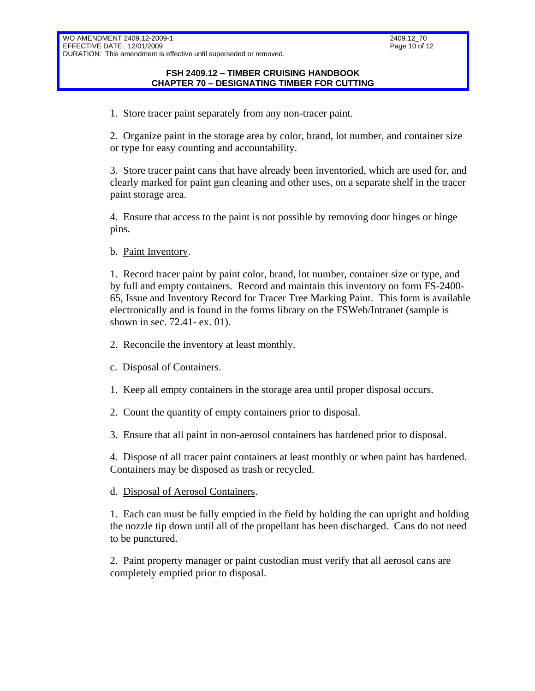#### **FSH 2409.12 – TIMBER CRUISING HANDBOOK CHAPTER 70 – DESIGNATING TIMBER FOR CUTTING**

1. Store tracer paint separately from any non-tracer paint.

2. Organize paint in the storage area by color, brand, lot number, and container size or type for easy counting and accountability.

3. Store tracer paint cans that have already been inventoried, which are used for, and clearly marked for paint gun cleaning and other uses, on a separate shelf in the tracer paint storage area.

4. Ensure that access to the paint is not possible by removing door hinges or hinge pins.

b. Paint Inventory.

1. Record tracer paint by paint color, brand, lot number, container size or type, and by full and empty containers. Record and maintain this inventory on form FS-2400- 65, Issue and Inventory Record for Tracer Tree Marking Paint. This form is available electronically and is found in the forms library on the FSWeb/Intranet (sample is shown in sec. 72.41- ex. 01).

- 2. Reconcile the inventory at least monthly.
- c. Disposal of Containers.
- 1. Keep all empty containers in the storage area until proper disposal occurs.
- 2. Count the quantity of empty containers prior to disposal.
- 3. Ensure that all paint in non-aerosol containers has hardened prior to disposal.

4. Dispose of all tracer paint containers at least monthly or when paint has hardened. Containers may be disposed as trash or recycled.

d. Disposal of Aerosol Containers.

1. Each can must be fully emptied in the field by holding the can upright and holding the nozzle tip down until all of the propellant has been discharged. Cans do not need to be punctured.

2. Paint property manager or paint custodian must verify that all aerosol cans are completely emptied prior to disposal.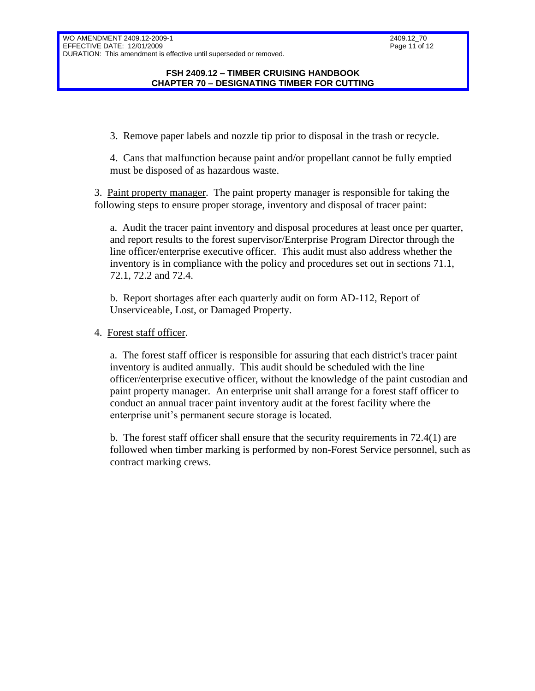#### **FSH 2409.12 – TIMBER CRUISING HANDBOOK CHAPTER 70 – DESIGNATING TIMBER FOR CUTTING**

3. Remove paper labels and nozzle tip prior to disposal in the trash or recycle.

4. Cans that malfunction because paint and/or propellant cannot be fully emptied must be disposed of as hazardous waste.

3. Paint property manager. The paint property manager is responsible for taking the following steps to ensure proper storage, inventory and disposal of tracer paint:

a. Audit the tracer paint inventory and disposal procedures at least once per quarter, and report results to the forest supervisor/Enterprise Program Director through the line officer/enterprise executive officer. This audit must also address whether the inventory is in compliance with the policy and procedures set out in sections 71.1, 72.1, 72.2 and 72.4.

b. Report shortages after each quarterly audit on form AD-112, Report of Unserviceable, Lost, or Damaged Property.

### 4. Forest staff officer.

a. The forest staff officer is responsible for assuring that each district's tracer paint inventory is audited annually. This audit should be scheduled with the line officer/enterprise executive officer, without the knowledge of the paint custodian and paint property manager. An enterprise unit shall arrange for a forest staff officer to conduct an annual tracer paint inventory audit at the forest facility where the enterprise unit's permanent secure storage is located.

b. The forest staff officer shall ensure that the security requirements in 72.4(1) are followed when timber marking is performed by non-Forest Service personnel, such as contract marking crews.